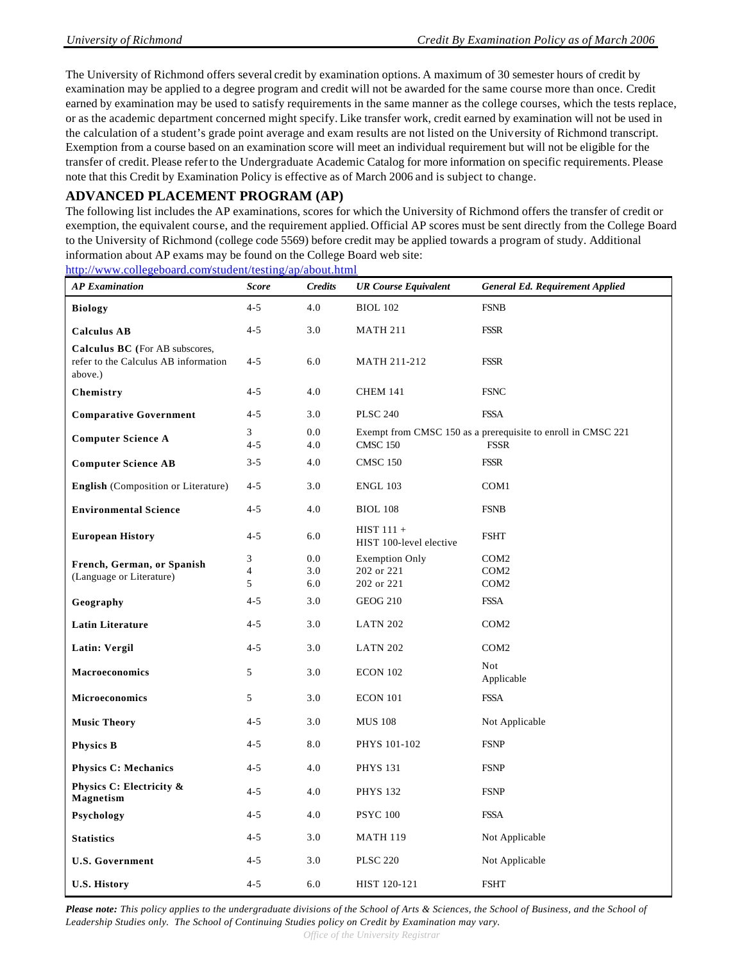The University of Richmond offers several credit by examination options. A maximum of 30 semester hours of credit by examination may be applied to a degree program and credit will not be awarded for the same course more than once. Credit earned by examination may be used to satisfy requirements in the same manner as the college courses, which the tests replace, or as the academic department concerned might specify. Like transfer work, credit earned by examination will not be used in the calculation of a student's grade point average and exam results are not listed on the University of Richmond transcript. Exemption from a course based on an examination score will meet an individual requirement but will not be eligible for the transfer of credit. Please refer to the Undergraduate Academic Catalog for more information on specific requirements. Please note that this Credit by Examination Policy is effective as of March 2006 and is subject to change.

### **ADVANCED PLACEMENT PROGRAM (AP)**

The following list includes the AP examinations, scores for which the University of Richmond offers the transfer of credit or exemption, the equivalent course, and the requirement applied. Official AP scores must be sent directly from the College Board to the University of Richmond (college code 5569) before credit may be applied towards a program of study. Additional information about AP exams may be found on the College Board web site:

http://www.collegeboard.com/student/testing/ap/about.html

| <b>AP</b> Examination                                                             | <b>Score</b>             | <b>Credits</b>    | <b>UR Course Equivalent</b>                       | <b>General Ed. Requirement Applied</b>                                      |
|-----------------------------------------------------------------------------------|--------------------------|-------------------|---------------------------------------------------|-----------------------------------------------------------------------------|
| <b>Biology</b>                                                                    | $4 - 5$                  | 4.0               | <b>BIOL 102</b>                                   | <b>FSNB</b>                                                                 |
| <b>Calculus AB</b>                                                                | $4 - 5$                  | 3.0               | <b>MATH 211</b>                                   | <b>FSSR</b>                                                                 |
| Calculus BC (For AB subscores,<br>refer to the Calculus AB information<br>above.) | $4 - 5$                  | 6.0               | MATH 211-212                                      | <b>FSSR</b>                                                                 |
| Chemistry                                                                         | $4 - 5$                  | 4.0               | <b>CHEM 141</b>                                   | <b>FSNC</b>                                                                 |
| <b>Comparative Government</b>                                                     | $4 - 5$                  | 3.0               | <b>PLSC 240</b>                                   | <b>FSSA</b>                                                                 |
| <b>Computer Science A</b>                                                         | 3<br>$4 - 5$             | 0.0<br>4.0        | <b>CMSC 150</b>                                   | Exempt from CMSC 150 as a prerequisite to enroll in CMSC 221<br><b>FSSR</b> |
| <b>Computer Science AB</b>                                                        | $3 - 5$                  | 4.0               | <b>CMSC 150</b>                                   | <b>FSSR</b>                                                                 |
| <b>English</b> (Composition or Literature)                                        | $4 - 5$                  | 3.0               | <b>ENGL 103</b>                                   | COM <sub>1</sub>                                                            |
| <b>Environmental Science</b>                                                      | $4 - 5$                  | 4.0               | <b>BIOL 108</b>                                   | <b>FSNB</b>                                                                 |
| <b>European History</b>                                                           | $4 - 5$                  | 6.0               | $HIST 111 +$<br>HIST 100-level elective           | <b>FSHT</b>                                                                 |
| French, German, or Spanish<br>(Language or Literature)                            | 3<br>$\overline{4}$<br>5 | 0.0<br>3.0<br>6.0 | <b>Exemption Only</b><br>202 or 221<br>202 or 221 | COM <sub>2</sub><br>COM <sub>2</sub><br>COM <sub>2</sub>                    |
| Geography                                                                         | $4 - 5$                  | 3.0               | <b>GEOG 210</b>                                   | <b>FSSA</b>                                                                 |
| <b>Latin Literature</b>                                                           | $4 - 5$                  | 3.0               | <b>LATN 202</b>                                   | COM <sub>2</sub>                                                            |
| Latin: Vergil                                                                     | $4 - 5$                  | 3.0               | <b>LATN 202</b>                                   | COM <sub>2</sub>                                                            |
| <b>Macroeconomics</b>                                                             | 5                        | 3.0               | <b>ECON 102</b>                                   | <b>Not</b><br>Applicable                                                    |
| <b>Microeconomics</b>                                                             | 5                        | 3.0               | <b>ECON 101</b>                                   | <b>FSSA</b>                                                                 |
| <b>Music Theory</b>                                                               | $4 - 5$                  | 3.0               | <b>MUS 108</b>                                    | Not Applicable                                                              |
| <b>Physics B</b>                                                                  | $4 - 5$                  | 8.0               | PHYS 101-102                                      | <b>FSNP</b>                                                                 |
| <b>Physics C: Mechanics</b>                                                       | $4 - 5$                  | 4.0               | <b>PHYS 131</b>                                   | <b>FSNP</b>                                                                 |
| Physics C: Electricity &<br>Magnetism                                             | $4 - 5$                  | 4.0               | <b>PHYS 132</b>                                   | <b>FSNP</b>                                                                 |
| Psychology                                                                        | $4 - 5$                  | 4.0               | <b>PSYC 100</b>                                   | <b>FSSA</b>                                                                 |
| <b>Statistics</b>                                                                 | $4 - 5$                  | 3.0               | <b>MATH 119</b>                                   | Not Applicable                                                              |
| <b>U.S. Government</b>                                                            | $4 - 5$                  | 3.0               | <b>PLSC 220</b>                                   | Not Applicable                                                              |
| <b>U.S. History</b>                                                               | $4 - 5$                  | 6.0               | HIST 120-121                                      | <b>FSHT</b>                                                                 |

*Please note: This policy applies to the undergraduate divisions of the School of Arts & Sciences, the School of Business, and the School of Leadership Studies only. The School of Continuing Studies policy on Credit by Examination may vary.*

*Office of the University Registrar*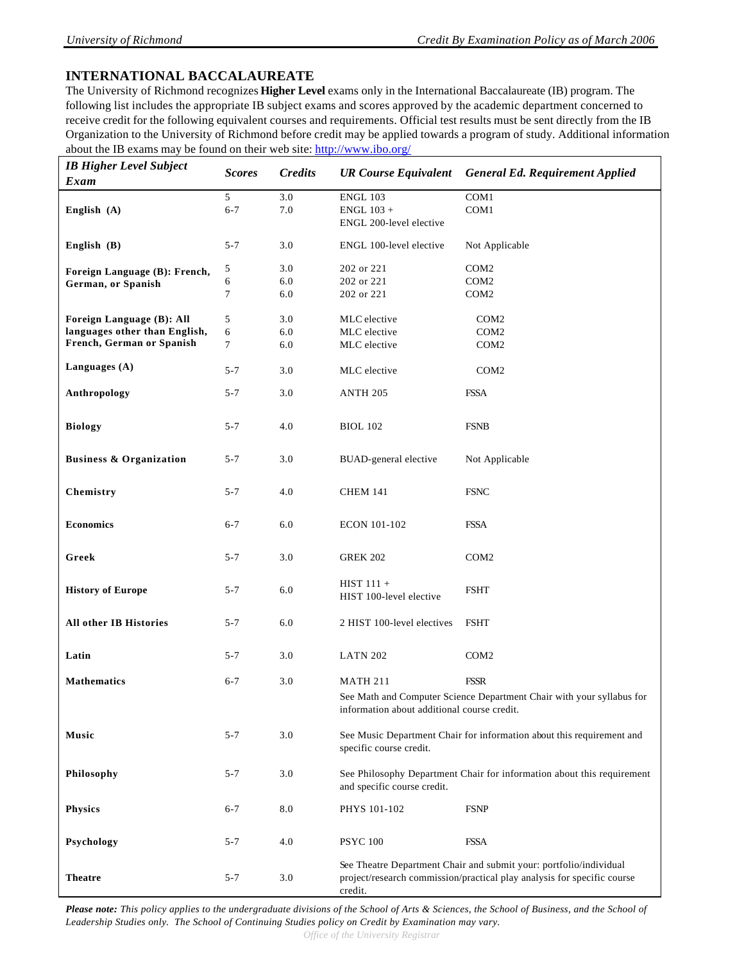## **INTERNATIONAL BACCALAUREATE**

The University of Richmond recognizes **Higher Level** exams only in the International Baccalaureate (IB) program. The following list includes the appropriate IB subject exams and scores approved by the academic department concerned to receive credit for the following equivalent courses and requirements. Official test results must be sent directly from the IB Organization to the University of Richmond before credit may be applied towards a program of study. Additional information about the IB exams may be found on their web site: http://www.ibo.org/

| <b>IB Higher Level Subject</b>     | <b>Scores</b> | <b>Credits</b> | <b>UR Course Equivalent</b>                 | <b>General Ed. Requirement Applied</b>                                  |
|------------------------------------|---------------|----------------|---------------------------------------------|-------------------------------------------------------------------------|
| Exam                               |               |                |                                             |                                                                         |
|                                    | 5             | 3.0            | <b>ENGL 103</b>                             | COM1                                                                    |
| English $(A)$                      | $6 - 7$       | 7.0            | $ENGL$ 103 +                                | COM1                                                                    |
|                                    |               |                | ENGL 200-level elective                     |                                                                         |
|                                    |               |                |                                             |                                                                         |
| English $(B)$                      | $5 - 7$       | 3.0            | ENGL 100-level elective                     | Not Applicable                                                          |
|                                    | 5             | 3.0            | 202 or 221                                  | COM <sub>2</sub>                                                        |
| Foreign Language (B): French,      | 6             | 6.0            | 202 or 221                                  | COM <sub>2</sub>                                                        |
| German, or Spanish                 | 7             | 6.0            | 202 or 221                                  | COM <sub>2</sub>                                                        |
|                                    |               |                |                                             |                                                                         |
| Foreign Language (B): All          | 5             | 3.0            | MLC elective                                | COM <sub>2</sub>                                                        |
| languages other than English,      | 6             | 6.0            | MLC elective                                | COM <sub>2</sub>                                                        |
| French, German or Spanish          | $\tau$        | 6.0            | MLC elective                                | COM <sub>2</sub>                                                        |
|                                    |               |                |                                             |                                                                         |
| Languages (A)                      | $5 - 7$       | 3.0            | MLC elective                                | COM <sub>2</sub>                                                        |
|                                    |               |                |                                             |                                                                         |
| Anthropology                       | $5 - 7$       | 3.0            | ANTH <sub>205</sub>                         | <b>FSSA</b>                                                             |
|                                    |               |                |                                             |                                                                         |
| <b>Biology</b>                     | $5 - 7$       | 4.0            | <b>BIOL 102</b>                             | <b>FSNB</b>                                                             |
|                                    |               |                |                                             |                                                                         |
| <b>Business &amp; Organization</b> | $5 - 7$       | 3.0            | BUAD-general elective                       | Not Applicable                                                          |
|                                    |               |                |                                             |                                                                         |
|                                    |               |                |                                             |                                                                         |
| Chemistry                          | $5 - 7$       | 4.0            | <b>CHEM 141</b>                             | <b>FSNC</b>                                                             |
|                                    |               |                |                                             |                                                                         |
| <b>Economics</b>                   | $6 - 7$       | 6.0            | <b>ECON 101-102</b>                         | <b>FSSA</b>                                                             |
|                                    |               |                |                                             |                                                                         |
| Greek                              | $5 - 7$       | 3.0            | <b>GREK 202</b>                             | COM <sub>2</sub>                                                        |
|                                    |               |                |                                             |                                                                         |
|                                    |               |                | $HIST 111 +$                                |                                                                         |
| <b>History of Europe</b>           | $5 - 7$       | $6.0\,$        | HIST 100-level elective                     | <b>FSHT</b>                                                             |
|                                    |               |                |                                             |                                                                         |
| All other IB Histories             | $5 - 7$       | 6.0            | 2 HIST 100-level electives                  | <b>FSHT</b>                                                             |
|                                    |               |                |                                             |                                                                         |
| Latin                              | $5 - 7$       | 3.0            | <b>LATN 202</b>                             | COM <sub>2</sub>                                                        |
|                                    |               |                |                                             |                                                                         |
| <b>Mathematics</b>                 | $6 - 7$       | 3.0            | <b>MATH 211</b>                             | <b>FSSR</b>                                                             |
|                                    |               |                |                                             | See Math and Computer Science Department Chair with your syllabus for   |
|                                    |               |                | information about additional course credit. |                                                                         |
|                                    |               |                |                                             |                                                                         |
| Music                              | $5 - 7$       | 3.0            |                                             | See Music Department Chair for information about this requirement and   |
|                                    |               |                | specific course credit.                     |                                                                         |
|                                    |               |                |                                             |                                                                         |
| Philosophy                         | $5 - 7$       | 3.0            |                                             | See Philosophy Department Chair for information about this requirement  |
|                                    |               |                | and specific course credit.                 |                                                                         |
| Physics                            | $6 - 7$       | 8.0            | PHYS 101-102                                | <b>FSNP</b>                                                             |
|                                    |               |                |                                             |                                                                         |
|                                    |               |                |                                             |                                                                         |
| Psychology                         | $5 - 7$       | 4.0            | <b>PSYC 100</b>                             | <b>FSSA</b>                                                             |
|                                    |               |                |                                             | See Theatre Department Chair and submit your: portfolio/individual      |
| <b>Theatre</b>                     | $5 - 7$       | 3.0            |                                             | project/research commission/practical play analysis for specific course |
|                                    |               |                | credit.                                     |                                                                         |

*Please note: This policy applies to the undergraduate divisions of the School of Arts & Sciences, the School of Business, and the School of Leadership Studies only. The School of Continuing Studies policy on Credit by Examination may vary.*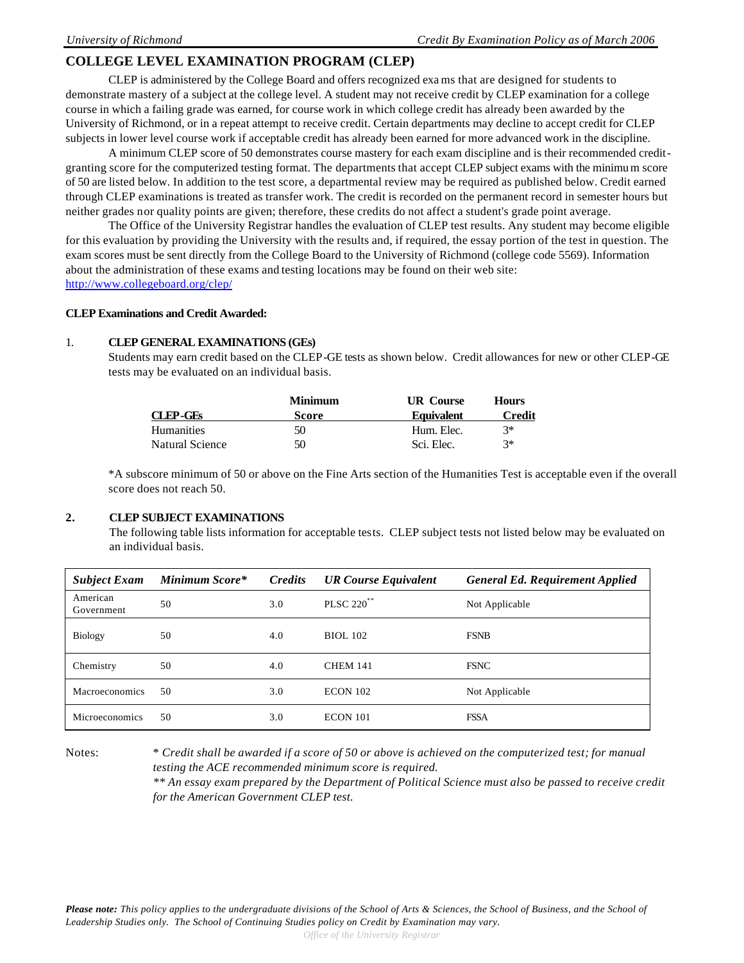### **COLLEGE LEVEL EXAMINATION PROGRAM (CLEP)**

CLEP is administered by the College Board and offers recognized exams that are designed for students to demonstrate mastery of a subject at the college level. A student may not receive credit by CLEP examination for a college course in which a failing grade was earned, for course work in which college credit has already been awarded by the University of Richmond, or in a repeat attempt to receive credit. Certain departments may decline to accept credit for CLEP subjects in lower level course work if acceptable credit has already been earned for more advanced work in the discipline.

A minimum CLEP score of 50 demonstrates course mastery for each exam discipline and is their recommended creditgranting score for the computerized testing format. The departments that accept CLEP subject exams with the minimum score of 50 are listed below. In addition to the test score, a departmental review may be required as published below. Credit earned through CLEP examinations is treated as transfer work. The credit is recorded on the permanent record in semester hours but neither grades nor quality points are given; therefore, these credits do not affect a student's grade point average.

The Office of the University Registrar handles the evaluation of CLEP test results. Any student may become eligible for this evaluation by providing the University with the results and, if required, the essay portion of the test in question. The exam scores must be sent directly from the College Board to the University of Richmond (college code 5569). Information about the administration of these exams and testing locations may be found on their web site: http://www.collegeboard.org/clep/

#### **CLEP Examinations and Credit Awarded:**

#### 1. **CLEP GENERAL EXAMINATIONS (GEs)**

Students may earn credit based on the CLEP-GE tests as shown below. Credit allowances for new or other CLEP-GE tests may be evaluated on an individual basis.

|                 | <b>Minimum</b> |                   | <b>Hours</b>  |
|-----------------|----------------|-------------------|---------------|
| CLEP-GEs        | <b>Score</b>   | <b>Equivalent</b> | <b>Credit</b> |
| Humanities      | 50             | Hum. Elec.        | $3*$          |
| Natural Science | 50             | Sci. Elec.        | $3*$          |

\*A subscore minimum of 50 or above on the Fine Arts section of the Humanities Test is acceptable even if the overall score does not reach 50.

#### **2. CLEP SUBJECT EXAMINATIONS**

The following table lists information for acceptable tests. CLEP subject tests not listed below may be evaluated on an individual basis.

| <b>Subject Exam</b>    | <b>Minimum Score*</b> | <b>Credits</b> | <b>UR Course Equivalent</b> | <b>General Ed. Requirement Applied</b> |
|------------------------|-----------------------|----------------|-----------------------------|----------------------------------------|
| American<br>Government | 50                    | 3.0            | PLSC 220 <sup>**</sup>      | Not Applicable                         |
| <b>Biology</b>         | 50                    | 4.0            | <b>BIOL 102</b>             | <b>FSNB</b>                            |
| Chemistry              | 50                    | 4.0            | <b>CHEM 141</b>             | <b>FSNC</b>                            |
| <b>Macroeconomics</b>  | 50                    | 3.0            | <b>ECON 102</b>             | Not Applicable                         |
| Microeconomics         | 50                    | 3.0            | <b>ECON 101</b>             | <b>FSSA</b>                            |

Notes: \* *Credit shall be awarded if a score of 50 or above is achieved on the computerized test; for manual testing the ACE recommended minimum score is required. \*\* An essay exam prepared by the Department of Political Science must also be passed to receive credit for the American Government CLEP test.*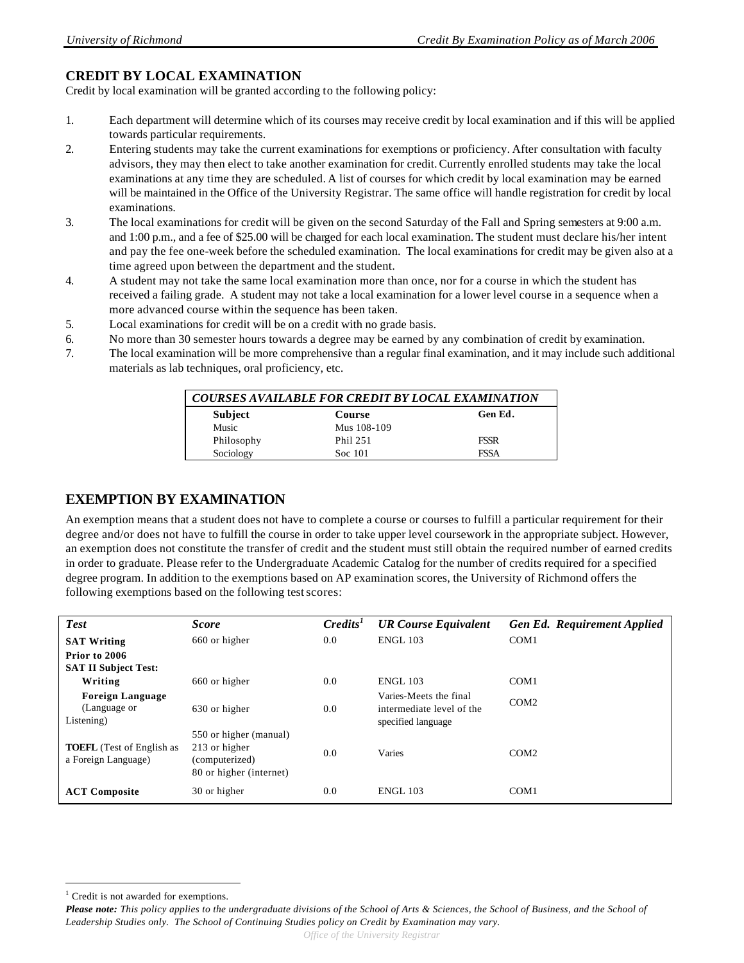# **CREDIT BY LOCAL EXAMINATION**

Credit by local examination will be granted according to the following policy:

- 1. Each department will determine which of its courses may receive credit by local examination and if this will be applied towards particular requirements.
- 2. Entering students may take the current examinations for exemptions or proficiency. After consultation with faculty advisors, they may then elect to take another examination for credit. Currently enrolled students may take the local examinations at any time they are scheduled. A list of courses for which credit by local examination may be earned will be maintained in the Office of the University Registrar. The same office will handle registration for credit by local examinations.
- 3. The local examinations for credit will be given on the second Saturday of the Fall and Spring semesters at 9:00 a.m. and 1:00 p.m., and a fee of \$25.00 will be charged for each local examination. The student must declare his/her intent and pay the fee one-week before the scheduled examination. The local examinations for credit may be given also at a time agreed upon between the department and the student.
- 4. A student may not take the same local examination more than once, nor for a course in which the student has received a failing grade. A student may not take a local examination for a lower level course in a sequence when a more advanced course within the sequence has been taken.
- 5. Local examinations for credit will be on a credit with no grade basis.
- 6. No more than 30 semester hours towards a degree may be earned by any combination of credit by examination.
- 7. The local examination will be more comprehensive than a regular final examination, and it may include such additional materials as lab techniques, oral proficiency, etc.

| COURSES AVAILABLE FOR CREDIT BY LOCAL EXAMINATION |             |             |  |  |
|---------------------------------------------------|-------------|-------------|--|--|
| <b>Subject</b>                                    | Course      | Gen Ed.     |  |  |
| Music                                             | Mus 108-109 |             |  |  |
| Philosophy                                        | Phil 251    | <b>FSSR</b> |  |  |
| Sociology                                         | Soc 101     | <b>FSSA</b> |  |  |

# **EXEMPTION BY EXAMINATION**

An exemption means that a student does not have to complete a course or courses to fulfill a particular requirement for their degree and/or does not have to fulfill the course in order to take upper level coursework in the appropriate subject. However, an exemption does not constitute the transfer of credit and the student must still obtain the required number of earned credits in order to graduate. Please refer to the Undergraduate Academic Catalog for the number of credits required for a specified degree program. In addition to the exemptions based on AP examination scores, the University of Richmond offers the following exemptions based on the following test scores:

| <b>Test</b>                                             | <b>Score</b>                                                                         | C <sub>redits</sub> <sup>T</sup> | <b>UR Course Equivalent</b>                                               | Gen Ed. Requirement Applied |
|---------------------------------------------------------|--------------------------------------------------------------------------------------|----------------------------------|---------------------------------------------------------------------------|-----------------------------|
| <b>SAT Writing</b>                                      | 660 or higher                                                                        | 0.0                              | <b>ENGL 103</b>                                                           | COM <sub>1</sub>            |
| Prior to 2006                                           |                                                                                      |                                  |                                                                           |                             |
| <b>SAT II Subject Test:</b>                             |                                                                                      |                                  |                                                                           |                             |
| Writing                                                 | 660 or higher                                                                        | 0.0                              | <b>ENGL 103</b>                                                           | COM <sub>1</sub>            |
| <b>Foreign Language</b><br>(Language or<br>Listening)   | 630 or higher                                                                        | 0.0                              | Varies-Meets the final<br>intermediate level of the<br>specified language | COM <sub>2</sub>            |
| <b>TOEFL</b> (Test of English as<br>a Foreign Language) | 550 or higher (manual)<br>213 or higher<br>(computerized)<br>80 or higher (internet) | 0.0                              | Varies                                                                    | COM2                        |
| <b>ACT Composite</b>                                    | 30 or higher                                                                         | 0.0                              | <b>ENGL 103</b>                                                           | COM <sub>1</sub>            |

 $\overline{\phantom{a}}$ 

<sup>&</sup>lt;sup>1</sup> Credit is not awarded for exemptions.

*Please note: This policy applies to the undergraduate divisions of the School of Arts & Sciences, the School of Business, and the School of Leadership Studies only. The School of Continuing Studies policy on Credit by Examination may vary.*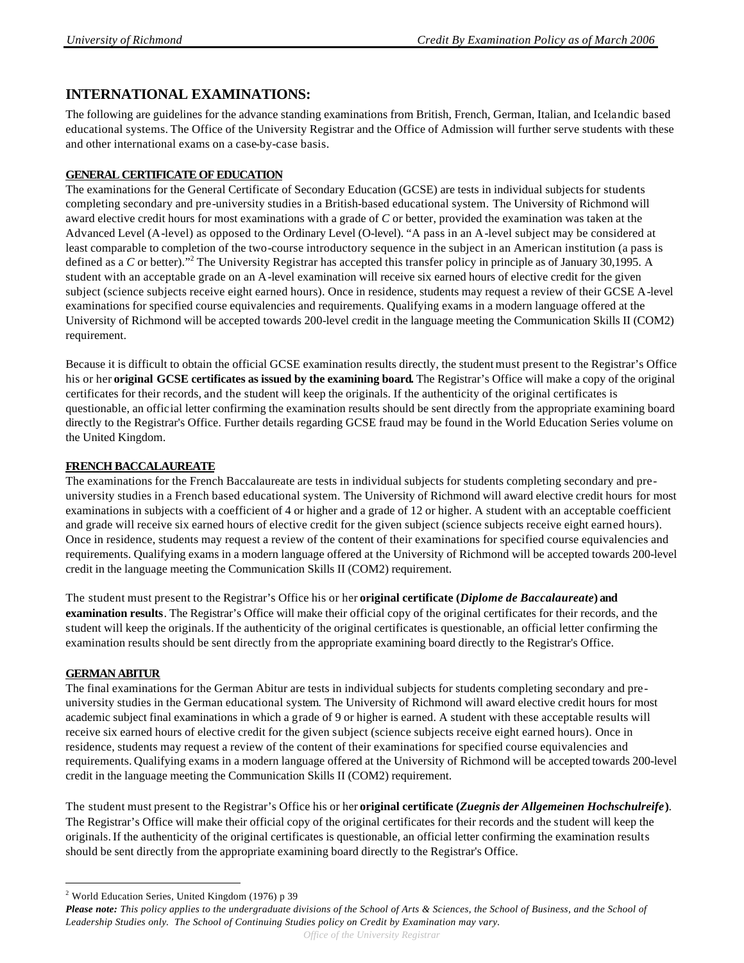# **INTERNATIONAL EXAMINATIONS:**

The following are guidelines for the advance standing examinations from British, French, German, Italian, and Icelandic based educational systems. The Office of the University Registrar and the Office of Admission will further serve students with these and other international exams on a case-by-case basis.

### **GENERAL CERTIFICATE OF EDUCATION**

The examinations for the General Certificate of Secondary Education (GCSE) are tests in individual subjects for students completing secondary and pre-university studies in a British-based educational system. The University of Richmond will award elective credit hours for most examinations with a grade of *C* or better, provided the examination was taken at the Advanced Level (A-level) as opposed to the Ordinary Level (O-level). "A pass in an A-level subject may be considered at least comparable to completion of the two-course introductory sequence in the subject in an American institution (a pass is defined as a *C* or better)."<sup>2</sup> The University Registrar has accepted this transfer policy in principle as of January 30,1995. A student with an acceptable grade on an A-level examination will receive six earned hours of elective credit for the given subject (science subjects receive eight earned hours). Once in residence, students may request a review of their GCSE A-level examinations for specified course equivalencies and requirements. Qualifying exams in a modern language offered at the University of Richmond will be accepted towards 200-level credit in the language meeting the Communication Skills II (COM2) requirement.

Because it is difficult to obtain the official GCSE examination results directly, the student must present to the Registrar's Office his or her **original GCSE certificates as issued by the examining board.** The Registrar's Office will make a copy of the original certificates for their records, and the student will keep the originals. If the authenticity of the original certificates is questionable, an official letter confirming the examination results should be sent directly from the appropriate examining board directly to the Registrar's Office. Further details regarding GCSE fraud may be found in the World Education Series volume on the United Kingdom.

### **FRENCH BACCALAUREATE**

The examinations for the French Baccalaureate are tests in individual subjects for students completing secondary and preuniversity studies in a French based educational system. The University of Richmond will award elective credit hours for most examinations in subjects with a coefficient of 4 or higher and a grade of 12 or higher. A student with an acceptable coefficient and grade will receive six earned hours of elective credit for the given subject (science subjects receive eight earned hours). Once in residence, students may request a review of the content of their examinations for specified course equivalencies and requirements. Qualifying exams in a modern language offered at the University of Richmond will be accepted towards 200-level credit in the language meeting the Communication Skills II (COM2) requirement.

The student must present to the Registrar's Office his or her **original certificate (***Diplome de Baccalaureate***) and examination results**. The Registrar's Office will make their official copy of the original certificates for their records, and the student will keep the originals. If the authenticity of the original certificates is questionable, an official letter confirming the examination results should be sent directly from the appropriate examining board directly to the Registrar's Office.

### **GERMAN ABITUR**

 $\overline{\phantom{a}}$ 

The final examinations for the German Abitur are tests in individual subjects for students completing secondary and preuniversity studies in the German educational system. The University of Richmond will award elective credit hours for most academic subject final examinations in which a grade of 9 or higher is earned. A student with these acceptable results will receive six earned hours of elective credit for the given subject (science subjects receive eight earned hours). Once in residence, students may request a review of the content of their examinations for specified course equivalencies and requirements. Qualifying exams in a modern language offered at the University of Richmond will be accepted towards 200-level credit in the language meeting the Communication Skills II (COM2) requirement.

The student must present to the Registrar's Office his or her **original certificate (***Zuegnis der Allgemeinen Hochschulreife***)**. The Registrar's Office will make their official copy of the original certificates for their records and the student will keep the originals. If the authenticity of the original certificates is questionable, an official letter confirming the examination results should be sent directly from the appropriate examining board directly to the Registrar's Office.

<sup>2</sup> World Education Series, United Kingdom (1976) p 39

*Office of the University Registrar* 

*Please note: This policy applies to the undergraduate divisions of the School of Arts & Sciences, the School of Business, and the School of Leadership Studies only. The School of Continuing Studies policy on Credit by Examination may vary.*